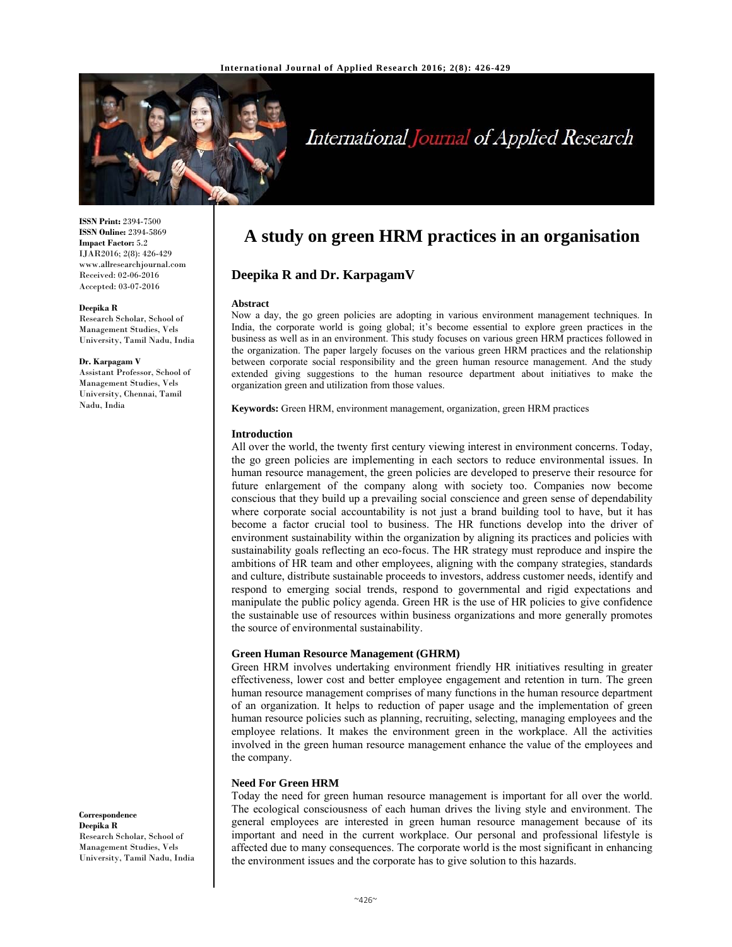

# International Journal of Applied Research

**ISSN Print:** 2394-7500 **ISSN Online:** 2394-5869 **Impact Factor:** 5.2 IJAR2016; 2(8): 426-429 www.allresearchjournal.com Received: 02-06-2016 Accepted: 03-07-2016

#### **Deepika R**

Research Scholar, School of Management Studies, Vels University, Tamil Nadu, India

#### **Dr. Karpagam V**

Assistant Professor, School of Management Studies, Vels University, Chennai, Tamil Nadu, India

#### **Correspondence Deepika R**  Research Scholar, School of Management Studies, Vels University, Tamil Nadu, India

# **A study on green HRM practices in an organisation**

# **Deepika R and Dr. KarpagamV**

#### **Abstract**

Now a day, the go green policies are adopting in various environment management techniques. In India, the corporate world is going global; it's become essential to explore green practices in the business as well as in an environment. This study focuses on various green HRM practices followed in the organization. The paper largely focuses on the various green HRM practices and the relationship between corporate social responsibility and the green human resource management. And the study extended giving suggestions to the human resource department about initiatives to make the organization green and utilization from those values.

**Keywords:** Green HRM, environment management, organization, green HRM practices

# **Introduction**

All over the world, the twenty first century viewing interest in environment concerns. Today, the go green policies are implementing in each sectors to reduce environmental issues. In human resource management, the green policies are developed to preserve their resource for future enlargement of the company along with society too. Companies now become conscious that they build up a prevailing social conscience and green sense of dependability where corporate social accountability is not just a brand building tool to have, but it has become a factor crucial tool to business. The HR functions develop into the driver of environment sustainability within the organization by aligning its practices and policies with sustainability goals reflecting an eco-focus. The HR strategy must reproduce and inspire the ambitions of HR team and other employees, aligning with the company strategies, standards and culture, distribute sustainable proceeds to investors, address customer needs, identify and respond to emerging social trends, respond to governmental and rigid expectations and manipulate the public policy agenda. Green HR is the use of HR policies to give confidence the sustainable use of resources within business organizations and more generally promotes the source of environmental sustainability.

#### **Green Human Resource Management (GHRM)**

Green HRM involves undertaking environment friendly HR initiatives resulting in greater effectiveness, lower cost and better employee engagement and retention in turn. The green human resource management comprises of many functions in the human resource department of an organization. It helps to reduction of paper usage and the implementation of green human resource policies such as planning, recruiting, selecting, managing employees and the employee relations. It makes the environment green in the workplace. All the activities involved in the green human resource management enhance the value of the employees and the company.

#### **Need For Green HRM**

Today the need for green human resource management is important for all over the world. The ecological consciousness of each human drives the living style and environment. The general employees are interested in green human resource management because of its important and need in the current workplace. Our personal and professional lifestyle is affected due to many consequences. The corporate world is the most significant in enhancing the environment issues and the corporate has to give solution to this hazards.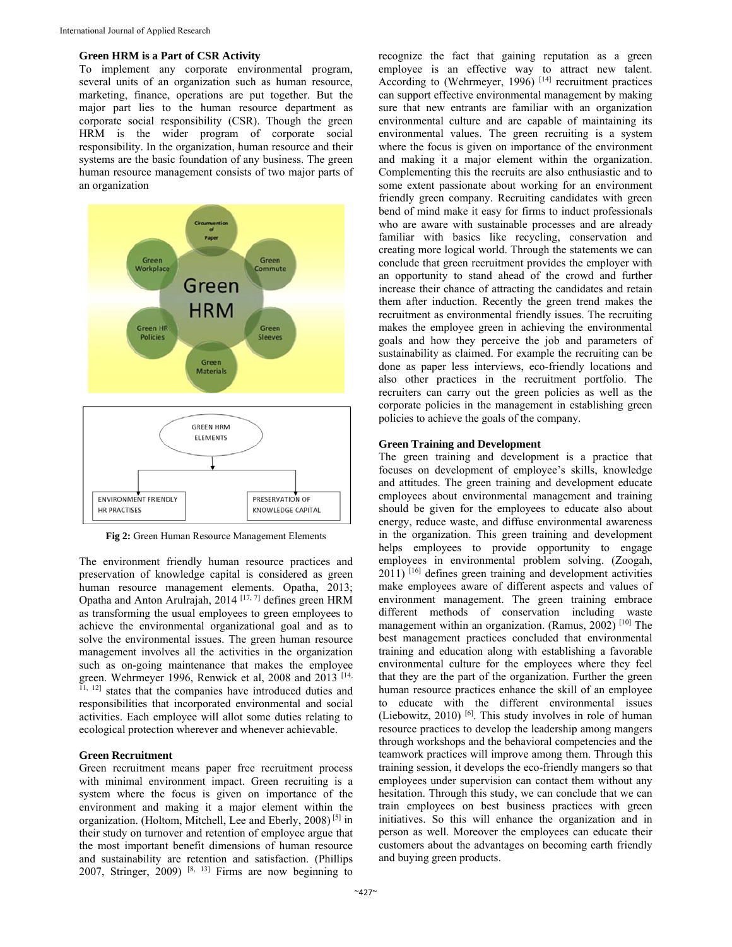#### **Green HRM is a Part of CSR Activity**

To implement any corporate environmental program, several units of an organization such as human resource, marketing, finance, operations are put together. But the major part lies to the human resource department as corporate social responsibility (CSR). Though the green HRM is the wider program of corporate social responsibility. In the organization, human resource and their systems are the basic foundation of any business. The green human resource management consists of two major parts of an organization



**Fig 2:** Green Human Resource Management Elements

The environment friendly human resource practices and preservation of knowledge capital is considered as green human resource management elements. Opatha, 2013; Opatha and Anton Arulrajah, 2014 [17, 7] defines green HRM as transforming the usual employees to green employees to achieve the environmental organizational goal and as to solve the environmental issues. The green human resource management involves all the activities in the organization such as on-going maintenance that makes the employee green. Wehrmeyer 1996, Renwick et al, 2008 and 2013 [14, 11, 12] states that the companies have introduced duties and responsibilities that incorporated environmental and social activities. Each employee will allot some duties relating to ecological protection wherever and whenever achievable.

## **Green Recruitment**

Green recruitment means paper free recruitment process with minimal environment impact. Green recruiting is a system where the focus is given on importance of the environment and making it a major element within the organization. (Holtom, Mitchell, Lee and Eberly, 2008) [5] in their study on turnover and retention of employee argue that the most important benefit dimensions of human resource and sustainability are retention and satisfaction. (Phillips 2007, Stringer, 2009)  $[8, 13]$  Firms are now beginning to

recognize the fact that gaining reputation as a green employee is an effective way to attract new talent. According to (Wehrmeyer, 1996)<sup>[14]</sup> recruitment practices can support effective environmental management by making sure that new entrants are familiar with an organization environmental culture and are capable of maintaining its environmental values. The green recruiting is a system where the focus is given on importance of the environment and making it a major element within the organization. Complementing this the recruits are also enthusiastic and to some extent passionate about working for an environment friendly green company. Recruiting candidates with green bend of mind make it easy for firms to induct professionals who are aware with sustainable processes and are already familiar with basics like recycling, conservation and creating more logical world. Through the statements we can conclude that green recruitment provides the employer with an opportunity to stand ahead of the crowd and further increase their chance of attracting the candidates and retain them after induction. Recently the green trend makes the recruitment as environmental friendly issues. The recruiting makes the employee green in achieving the environmental goals and how they perceive the job and parameters of sustainability as claimed. For example the recruiting can be done as paper less interviews, eco-friendly locations and also other practices in the recruitment portfolio. The recruiters can carry out the green policies as well as the corporate policies in the management in establishing green policies to achieve the goals of the company.

#### **Green Training and Development**

The green training and development is a practice that focuses on development of employee's skills, knowledge and attitudes. The green training and development educate employees about environmental management and training should be given for the employees to educate also about energy, reduce waste, and diffuse environmental awareness in the organization. This green training and development helps employees to provide opportunity to engage employees in environmental problem solving. (Zoogah,  $2011$ ) [16] defines green training and development activities make employees aware of different aspects and values of environment management. The green training embrace different methods of conservation including waste management within an organization. (Ramus,  $2002$ )<sup>[10]</sup> The best management practices concluded that environmental training and education along with establishing a favorable environmental culture for the employees where they feel that they are the part of the organization. Further the green human resource practices enhance the skill of an employee to educate with the different environmental issues (Liebowitz, 2010) [6]. This study involves in role of human resource practices to develop the leadership among mangers through workshops and the behavioral competencies and the teamwork practices will improve among them. Through this training session, it develops the eco-friendly mangers so that employees under supervision can contact them without any hesitation. Through this study, we can conclude that we can train employees on best business practices with green initiatives. So this will enhance the organization and in person as well. Moreover the employees can educate their customers about the advantages on becoming earth friendly and buying green products.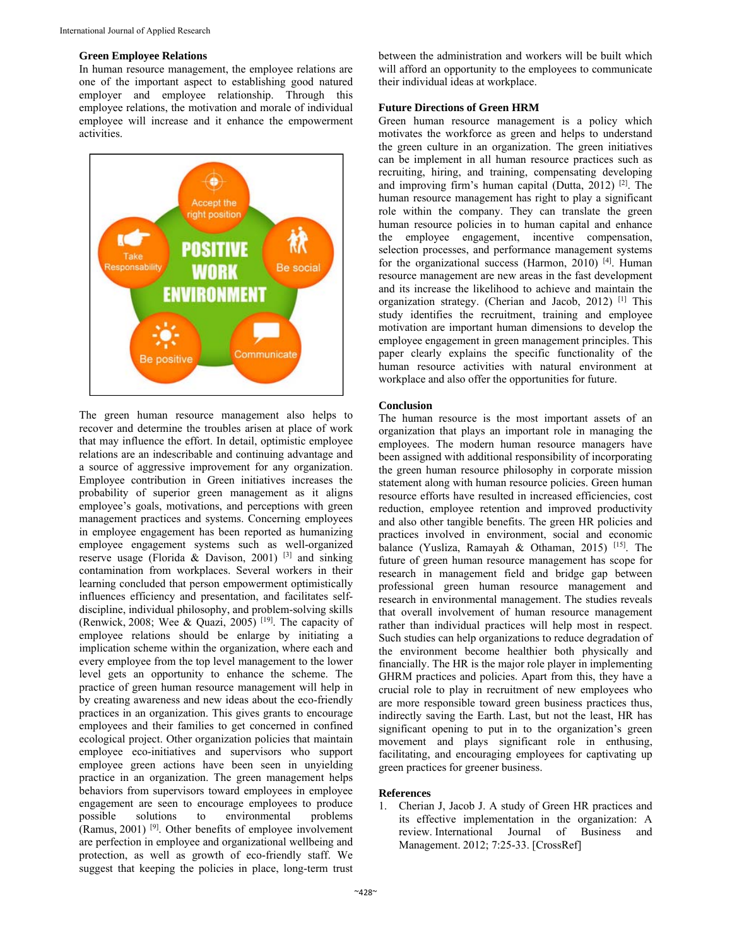#### **Green Employee Relations**

In human resource management, the employee relations are one of the important aspect to establishing good natured employer and employee relationship. Through this employee relations, the motivation and morale of individual employee will increase and it enhance the empowerment activities.



The green human resource management also helps to recover and determine the troubles arisen at place of work that may influence the effort. In detail, optimistic employee relations are an indescribable and continuing advantage and a source of aggressive improvement for any organization. Employee contribution in Green initiatives increases the probability of superior green management as it aligns employee's goals, motivations, and perceptions with green management practices and systems. Concerning employees in employee engagement has been reported as humanizing employee engagement systems such as well-organized reserve usage (Florida & Davison, 2001) [3] and sinking contamination from workplaces. Several workers in their learning concluded that person empowerment optimistically influences efficiency and presentation, and facilitates selfdiscipline, individual philosophy, and problem-solving skills (Renwick, 2008; Wee & Quazi, 2005) <sup>[19]</sup>. The capacity of employee relations should be enlarge by initiating a implication scheme within the organization, where each and every employee from the top level management to the lower level gets an opportunity to enhance the scheme. The practice of green human resource management will help in by creating awareness and new ideas about the eco-friendly practices in an organization. This gives grants to encourage employees and their families to get concerned in confined ecological project. Other organization policies that maintain employee eco-initiatives and supervisors who support employee green actions have been seen in unyielding practice in an organization. The green management helps behaviors from supervisors toward employees in employee engagement are seen to encourage employees to produce<br>possible solutions to environmental problems possible solutions to environmental (Ramus, 2001) [9]. Other benefits of employee involvement are perfection in employee and organizational wellbeing and protection, as well as growth of eco-friendly staff. We suggest that keeping the policies in place, long-term trust

between the administration and workers will be built which will afford an opportunity to the employees to communicate their individual ideas at workplace.

# **Future Directions of Green HRM**

Green human resource management is a policy which motivates the workforce as green and helps to understand the green culture in an organization. The green initiatives can be implement in all human resource practices such as recruiting, hiring, and training, compensating developing and improving firm's human capital (Dutta,  $2012$ ) <sup>[2]</sup>. The human resource management has right to play a significant role within the company. They can translate the green human resource policies in to human capital and enhance the employee engagement, incentive compensation, selection processes, and performance management systems for the organizational success (Harmon, 2010)  $[4]$ . Human resource management are new areas in the fast development and its increase the likelihood to achieve and maintain the organization strategy. (Cherian and Jacob, 2012) [1] This study identifies the recruitment, training and employee motivation are important human dimensions to develop the employee engagement in green management principles. This paper clearly explains the specific functionality of the human resource activities with natural environment at workplace and also offer the opportunities for future.

# **Conclusion**

The human resource is the most important assets of an organization that plays an important role in managing the employees. The modern human resource managers have been assigned with additional responsibility of incorporating the green human resource philosophy in corporate mission statement along with human resource policies. Green human resource efforts have resulted in increased efficiencies, cost reduction, employee retention and improved productivity and also other tangible benefits. The green HR policies and practices involved in environment, social and economic balance (Yusliza, Ramayah & Othaman, 2015) [15]. The future of green human resource management has scope for research in management field and bridge gap between professional green human resource management and research in environmental management. The studies reveals that overall involvement of human resource management rather than individual practices will help most in respect. Such studies can help organizations to reduce degradation of the environment become healthier both physically and financially. The HR is the major role player in implementing GHRM practices and policies. Apart from this, they have a crucial role to play in recruitment of new employees who are more responsible toward green business practices thus, indirectly saving the Earth. Last, but not the least, HR has significant opening to put in to the organization's green movement and plays significant role in enthusing, facilitating, and encouraging employees for captivating up green practices for greener business.

# **References**

1. Cherian J, Jacob J. A study of Green HR practices and its effective implementation in the organization: A review. International Journal of Business and Management. 2012; 7:25-33. [CrossRef]